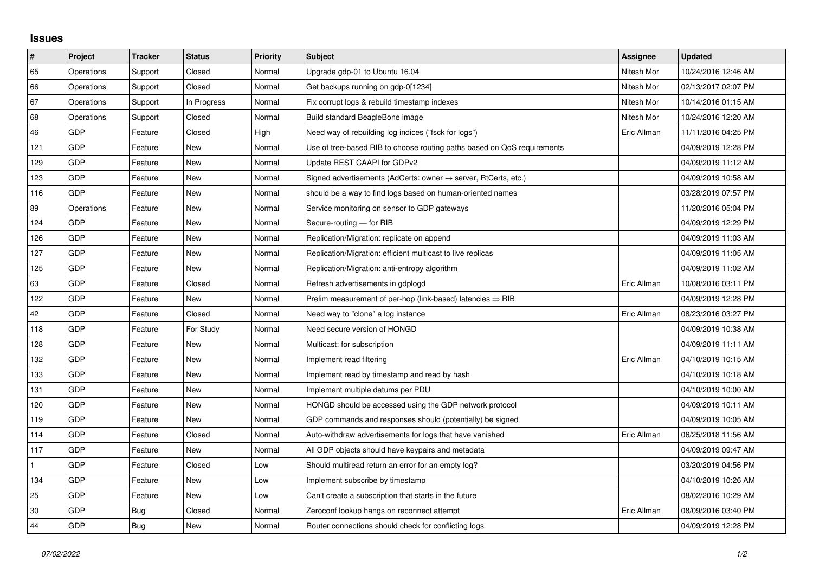## **Issues**

| $\vert$ #    | Project    | <b>Tracker</b> | <b>Status</b> | <b>Priority</b> | <b>Subject</b>                                                             | Assignee    | <b>Updated</b>      |
|--------------|------------|----------------|---------------|-----------------|----------------------------------------------------------------------------|-------------|---------------------|
| 65           | Operations | Support        | Closed        | Normal          | Upgrade gdp-01 to Ubuntu 16.04                                             | Nitesh Mor  | 10/24/2016 12:46 AM |
| 66           | Operations | Support        | Closed        | Normal          | Get backups running on gdp-0[1234]                                         | Nitesh Mor  | 02/13/2017 02:07 PM |
| 67           | Operations | Support        | In Progress   | Normal          | Fix corrupt logs & rebuild timestamp indexes                               | Nitesh Mor  | 10/14/2016 01:15 AM |
| 68           | Operations | Support        | Closed        | Normal          | Build standard BeagleBone image                                            | Nitesh Mor  | 10/24/2016 12:20 AM |
| 46           | GDP        | Feature        | Closed        | High            | Need way of rebuilding log indices ("fsck for logs")                       | Eric Allman | 11/11/2016 04:25 PM |
| 121          | GDP        | Feature        | New           | Normal          | Use of tree-based RIB to choose routing paths based on QoS requirements    |             | 04/09/2019 12:28 PM |
| 129          | <b>GDP</b> | Feature        | New           | Normal          | Update REST CAAPI for GDPv2                                                |             | 04/09/2019 11:12 AM |
| 123          | GDP        | Feature        | New           | Normal          | Signed advertisements (AdCerts: owner $\rightarrow$ server, RtCerts, etc.) |             | 04/09/2019 10:58 AM |
| 116          | <b>GDP</b> | Feature        | <b>New</b>    | Normal          | should be a way to find logs based on human-oriented names                 |             | 03/28/2019 07:57 PM |
| 89           | Operations | Feature        | <b>New</b>    | Normal          | Service monitoring on sensor to GDP gateways                               |             | 11/20/2016 05:04 PM |
| 124          | <b>GDP</b> | Feature        | New           | Normal          | Secure-routing - for RIB                                                   |             | 04/09/2019 12:29 PM |
| 126          | <b>GDP</b> | Feature        | <b>New</b>    | Normal          | Replication/Migration: replicate on append                                 |             | 04/09/2019 11:03 AM |
| 127          | <b>GDP</b> | Feature        | <b>New</b>    | Normal          | Replication/Migration: efficient multicast to live replicas                |             | 04/09/2019 11:05 AM |
| 125          | GDP        | Feature        | New           | Normal          | Replication/Migration: anti-entropy algorithm                              |             | 04/09/2019 11:02 AM |
| 63           | <b>GDP</b> | Feature        | Closed        | Normal          | Refresh advertisements in gdplogd                                          | Eric Allman | 10/08/2016 03:11 PM |
| 122          | <b>GDP</b> | Feature        | <b>New</b>    | Normal          | Prelim measurement of per-hop (link-based) latencies $\Rightarrow$ RIB     |             | 04/09/2019 12:28 PM |
| 42           | GDP        | Feature        | Closed        | Normal          | Need way to "clone" a log instance                                         | Eric Allman | 08/23/2016 03:27 PM |
| 118          | <b>GDP</b> | Feature        | For Study     | Normal          | Need secure version of HONGD                                               |             | 04/09/2019 10:38 AM |
| 128          | <b>GDP</b> | Feature        | <b>New</b>    | Normal          | Multicast: for subscription                                                |             | 04/09/2019 11:11 AM |
| 132          | GDP        | Feature        | New           | Normal          | Implement read filtering                                                   | Eric Allman | 04/10/2019 10:15 AM |
| 133          | GDP        | Feature        | New           | Normal          | Implement read by timestamp and read by hash                               |             | 04/10/2019 10:18 AM |
| 131          | <b>GDP</b> | Feature        | <b>New</b>    | Normal          | Implement multiple datums per PDU                                          |             | 04/10/2019 10:00 AM |
| 120          | <b>GDP</b> | Feature        | New           | Normal          | HONGD should be accessed using the GDP network protocol                    |             | 04/09/2019 10:11 AM |
| 119          | <b>GDP</b> | Feature        | <b>New</b>    | Normal          | GDP commands and responses should (potentially) be signed                  |             | 04/09/2019 10:05 AM |
| 114          | <b>GDP</b> | Feature        | Closed        | Normal          | Auto-withdraw advertisements for logs that have vanished                   | Eric Allman | 06/25/2018 11:56 AM |
| 117          | GDP        | Feature        | New           | Normal          | All GDP objects should have keypairs and metadata                          |             | 04/09/2019 09:47 AM |
| $\mathbf{1}$ | <b>GDP</b> | Feature        | Closed        | Low             | Should multiread return an error for an empty log?                         |             | 03/20/2019 04:56 PM |
| 134          | GDP        | Feature        | <b>New</b>    | Low             | Implement subscribe by timestamp                                           |             | 04/10/2019 10:26 AM |
| 25           | <b>GDP</b> | Feature        | New           | Low             | Can't create a subscription that starts in the future                      |             | 08/02/2016 10:29 AM |
| 30           | GDP        | Bug            | Closed        | Normal          | Zeroconf lookup hangs on reconnect attempt                                 | Eric Allman | 08/09/2016 03:40 PM |
| 44           | GDP        | Bug            | <b>New</b>    | Normal          | Router connections should check for conflicting logs                       |             | 04/09/2019 12:28 PM |